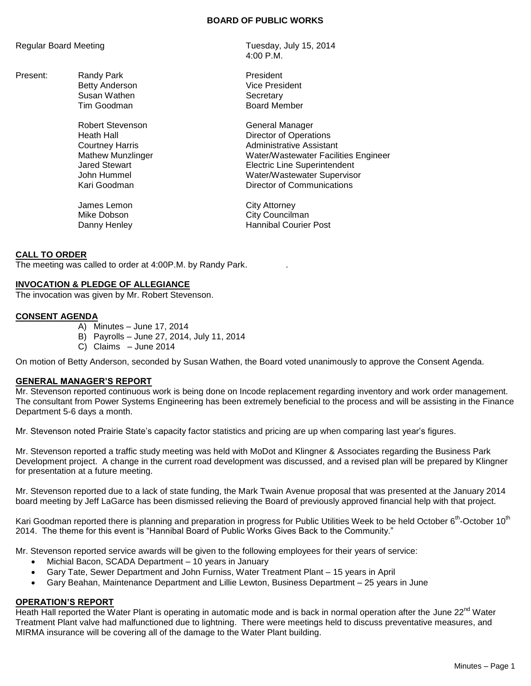#### **BOARD OF PUBLIC WORKS**

Present: Randy Park **President** Tim Goodman

Robert Stevenson General Manager

James Lemon City Attorney

Regular Board Meeting Tuesday, July 15, 2014 4:00 P.M.

> Betty Anderson **Vice President** Susan Wathen National Secretary<br>Tim Goodman Secretary Secretary Secretary

Heath Hall **Hall Courtney Harris**<br>
Courtney Harris **Courtney Harris Administrative Assistant** Mathew Munzlinger Water/Wastewater Facilities Engineer Jared Stewart Electric Line Superintendent John Hummel Water/Wastewater Supervisor Kari Goodman Director of Communications

Mike Dobson **City Councilman** Danny Henley **Hannibal Courier Post** 

## **CALL TO ORDER**

The meeting was called to order at 4:00P.M. by Randy Park. .

#### **INVOCATION & PLEDGE OF ALLEGIANCE**

The invocation was given by Mr. Robert Stevenson.

## **CONSENT AGENDA**

- A) Minutes June 17, 2014
- B) Payrolls June 27, 2014, July 11, 2014
- C) Claims June 2014

On motion of Betty Anderson, seconded by Susan Wathen, the Board voted unanimously to approve the Consent Agenda.

#### **GENERAL MANAGER'S REPORT**

Mr. Stevenson reported continuous work is being done on Incode replacement regarding inventory and work order management. The consultant from Power Systems Engineering has been extremely beneficial to the process and will be assisting in the Finance Department 5-6 days a month.

Mr. Stevenson noted Prairie State's capacity factor statistics and pricing are up when comparing last year's figures.

Mr. Stevenson reported a traffic study meeting was held with MoDot and Klingner & Associates regarding the Business Park Development project. A change in the current road development was discussed, and a revised plan will be prepared by Klingner for presentation at a future meeting.

Mr. Stevenson reported due to a lack of state funding, the Mark Twain Avenue proposal that was presented at the January 2014 board meeting by Jeff LaGarce has been dismissed relieving the Board of previously approved financial help with that project.

Kari Goodman reported there is planning and preparation in progress for Public Utilities Week to be held October 6<sup>th</sup>-October 10<sup>th</sup> 2014. The theme for this event is "Hannibal Board of Public Works Gives Back to the Community."

Mr. Stevenson reported service awards will be given to the following employees for their years of service:

- Michial Bacon, SCADA Department 10 years in January
- Gary Tate, Sewer Department and John Furniss, Water Treatment Plant 15 years in April
- Gary Beahan, Maintenance Department and Lillie Lewton, Business Department 25 years in June

## **OPERATION'S REPORT**

Heath Hall reported the Water Plant is operating in automatic mode and is back in normal operation after the June 22<sup>nd</sup> Water Treatment Plant valve had malfunctioned due to lightning. There were meetings held to discuss preventative measures, and MIRMA insurance will be covering all of the damage to the Water Plant building.